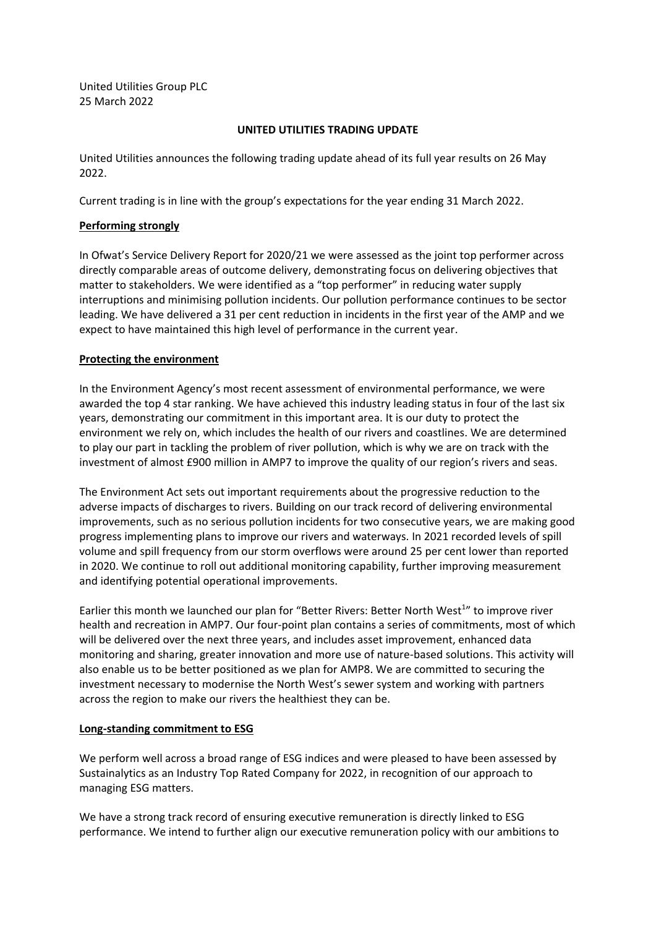United Utilities Group PLC 25 March 2022

#### **UNITED UTILITIES TRADING UPDATE**

United Utilities announces the following trading update ahead of its full year results on 26 May 2022.

Current trading is in line with the group's expectations for the year ending 31 March 2022.

#### **Performing strongly**

In Ofwat's Service Delivery Report for 2020/21 we were assessed as the joint top performer across directly comparable areas of outcome delivery, demonstrating focus on delivering objectives that matter to stakeholders. We were identified as a "top performer" in reducing water supply interruptions and minimising pollution incidents. Our pollution performance continues to be sector leading. We have delivered a 31 per cent reduction in incidents in the first year of the AMP and we expect to have maintained this high level of performance in the current year.

## **Protecting the environment**

In the Environment Agency's most recent assessment of environmental performance, we were awarded the top 4 star ranking. We have achieved this industry leading status in four of the last six years, demonstrating our commitment in this important area. It is our duty to protect the environment we rely on, which includes the health of our rivers and coastlines. We are determined to play our part in tackling the problem of river pollution, which is why we are on track with the investment of almost £900 million in AMP7 to improve the quality of our region's rivers and seas.

The Environment Act sets out important requirements about the progressive reduction to the adverse impacts of discharges to rivers. Building on our track record of delivering environmental improvements, such as no serious pollution incidents for two consecutive years, we are making good progress implementing plans to improve our rivers and waterways. In 2021 recorded levels of spill volume and spill frequency from our storm overflows were around 25 per cent lower than reported in 2020. We continue to roll out additional monitoring capability, further improving measurement and identifying potential operational improvements.

Earlier this month we launched our plan for "Better Rivers: Better North West<sup>1</sup>" to improve river health and recreation in AMP7. Our four-point plan contains a series of commitments, most of which will be delivered over the next three years, and includes asset improvement, enhanced data monitoring and sharing, greater innovation and more use of nature-based solutions. This activity will also enable us to be better positioned as we plan for AMP8. We are committed to securing the investment necessary to modernise the North West's sewer system and working with partners across the region to make our rivers the healthiest they can be.

## **Long-standing commitment to ESG**

We perform well across a broad range of ESG indices and were pleased to have been assessed by Sustainalytics as an Industry Top Rated Company for 2022, in recognition of our approach to managing ESG matters.

We have a strong track record of ensuring executive remuneration is directly linked to ESG performance. We intend to further align our executive remuneration policy with our ambitions to